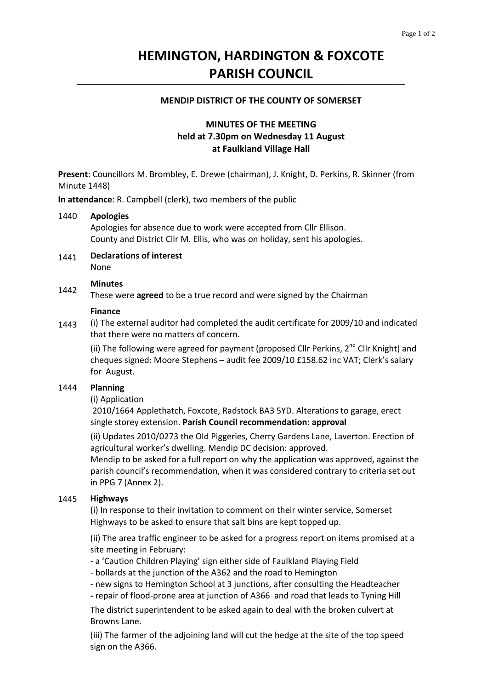# **HEMINGTON, HARDINGTON & FOXCOTE PARISH COUNCIL**

### **MENDIP DISTRICT OF THE COUNTY OF SOMERSET**

# **MINUTES OF THE MEETING held at 7.30pm on Wednesday 11 August at Faulkland Village Hall**

**Present**: Councillors M. Brombley, E. Drewe (chairman), J. Knight, D. Perkins, R. Skinner (from Minute 1448)

**In attendance**: R. Campbell (clerk), two members of the public

#### 1440 **Apologies**

Apologies for absence due to work were accepted from Cllr Ellison. County and District Cllr M. Ellis, who was on holiday, sent his apologies.

1441 **Declarations of interest** None

# **Minutes**

1442 These were **agreed** to be a true record and were signed by the Chairman

### **Finance**

1443 (i) The external auditor had completed the audit certificate for 2009/10 and indicated that there were no matters of concern.

(ii) The following were agreed for payment (proposed Cllr Perkins,  $2^{nd}$  Cllr Knight) and cheques signed: Moore Stephens – audit fee 2009/10 £158.62 inc VAT; Clerk's salary for August.

#### 1444 **Planning**

### (i) Application

2010/1664 Applethatch, Foxcote, Radstock BA3 5YD. Alterations to garage, erect single storey extension. **Parish Council recommendation: approval**

(ii) Updates 2010/0273 the Old Piggeries, Cherry Gardens Lane, Laverton. Erection of agricultural worker's dwelling. Mendip DC decision: approved.

Mendip to be asked for a full report on why the application was approved, against the parish council's recommendation, when it was considered contrary to criteria set out in PPG 7 (Annex 2).

#### 1445 **Highways**

(i) In response to their invitation to comment on their winter service, Somerset Highways to be asked to ensure that salt bins are kept topped up.

(ii) The area traffic engineer to be asked for a progress report on items promised at a site meeting in February:

‐ a 'Caution Children Playing' sign either side of Faulkland Playing Field

‐ bollards at the junction of the A362 and the road to Hemington

‐ new signs to Hemington School at 3 junctions, after consulting the Headteacher

**‐** repair of flood‐prone area at junction of A366 and road that leads to Tyning Hill

The district superintendent to be asked again to deal with the broken culvert at Browns Lane.

(iii) The farmer of the adjoining land will cut the hedge at the site of the top speed sign on the A366.